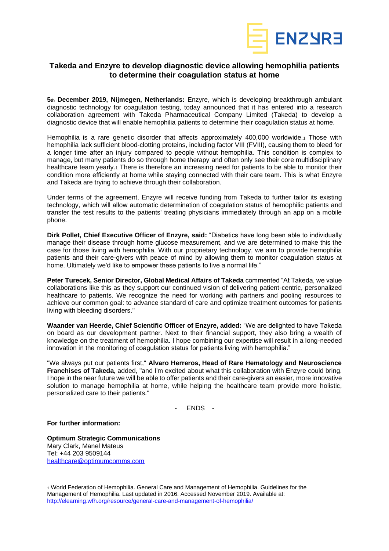

## **Takeda and Enzyre to develop diagnostic device allowing hemophilia patients to determine their coagulation status at home**

**5th December 2019, Nijmegen, Netherlands:** Enzyre, which is developing breakthrough ambulant diagnostic technology for coagulation testing, today announced that it has entered into a research collaboration agreement with Takeda Pharmaceutical Company Limited (Takeda) to develop a diagnostic device that will enable hemophilia patients to determine their coagulation status at home.

Hemophilia is a rare genetic disorder that affects approximately 400,000 worldwide.1 Those with hemophilia lack sufficient blood-clotting proteins, including factor VIII (FVIII), causing them to bleed for a longer time after an injury compared to people without hemophilia. This condition is complex to manage, but many patients do so through home therapy and often only see their core multidisciplinary healthcare team yearly.<sub>1</sub> There is therefore an increasing need for patients to be able to monitor their condition more efficiently at home while staying connected with their care team. This is what Enzyre and Takeda are trying to achieve through their collaboration.

Under terms of the agreement, Enzyre will receive funding from Takeda to further tailor its existing technology, which will allow automatic determination of coagulation status of hemophilic patients and transfer the test results to the patients' treating physicians immediately through an app on a mobile phone.

**Dirk Pollet, Chief Executive Officer of Enzyre, said:** "Diabetics have long been able to individually manage their disease through home glucose measurement, and we are determined to make this the case for those living with hemophilia. With our proprietary technology, we aim to provide hemophilia patients and their care-givers with peace of mind by allowing them to monitor coagulation status at home. Ultimately we'd like to empower these patients to live a normal life."

**Peter Turecek, Senior Director, Global Medical Affairs of Takeda** commented "At Takeda, we value collaborations like this as they support our continued vision of delivering patient-centric, personalized healthcare to patients. We recognize the need for working with partners and pooling resources to achieve our common goal: to advance standard of care and optimize treatment outcomes for patients living with bleeding disorders."

**Waander van Heerde, Chief Scientific Officer of Enzyre, added:** "We are delighted to have Takeda on board as our development partner. Next to their financial support, they also bring a wealth of knowledge on the treatment of hemophilia. I hope combining our expertise will result in a long-needed innovation in the monitoring of coagulation status for patients living with hemophilia."

"We always put our patients first," **Alvaro Herreros, Head of Rare Hematology and Neuroscience Franchises of Takeda,** added, "and I'm excited about what this collaboration with Enzyre could bring. I hope in the near future we will be able to offer patients and their care-givers an easier, more innovative solution to manage hemophilia at home, while helping the healthcare team provide more holistic, personalized care to their patients."

- ENDS -

**For further information:**

**Optimum Strategic Communications** Mary Clark, Manel Mateus Tel: +44 203 9509144 [healthcare@optimumcomms.com](mailto:healthcare@optimumcomms.com)

<sup>1</sup> World Federation of Hemophilia. General Care and Management of Hemophilia. Guidelines for the Management of Hemophilia. Last updated in 2016. Accessed November 2019. Available at: <http://elearning.wfh.org/resource/general-care-and-management-of-hemophilia/>